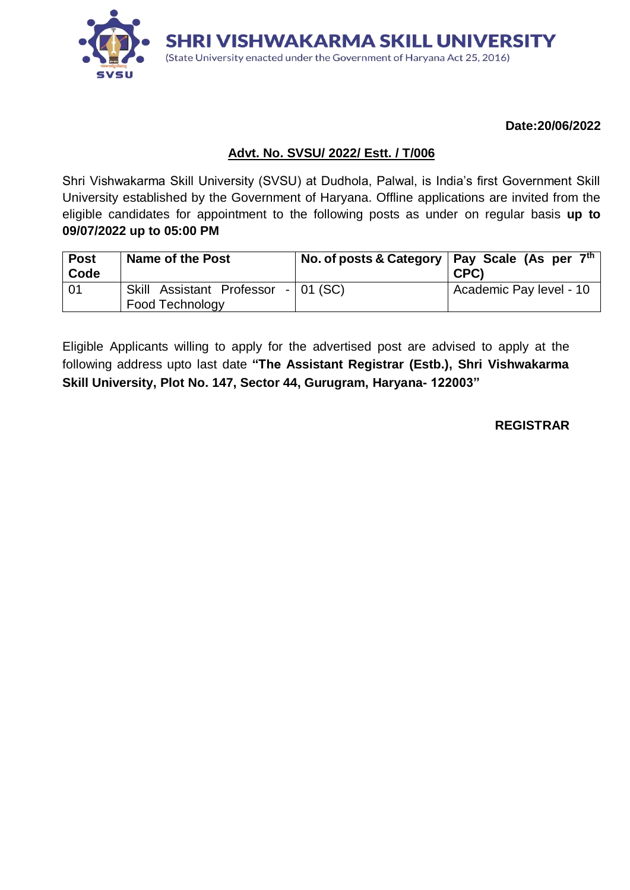

**Date:20/06/2022**

### **Advt. No. SVSU/ 2022/ Estt. / T/006**

Shri Vishwakarma Skill University (SVSU) at Dudhola, Palwal, is India's first Government Skill University established by the Government of Haryana. Offline applications are invited from the eligible candidates for appointment to the following posts as under on regular basis **up to 09/07/2022 up to 05:00 PM**

| <b>Post</b><br>Code | Name of the Post                                       | No. of posts & Category   Pay Scale (As per $7th$<br>CPC) |
|---------------------|--------------------------------------------------------|-----------------------------------------------------------|
| -01                 | Skill Assistant Professor - 01 (SC)<br>Food Technology | <sup>1</sup> Academic Pay level - 10                      |

Eligible Applicants willing to apply for the advertised post are advised to apply at the following address upto last date **"The Assistant Registrar (Estb.), Shri Vishwakarma Skill University, Plot No. 147, Sector 44, Gurugram, Haryana- 122003"**

**REGISTRAR**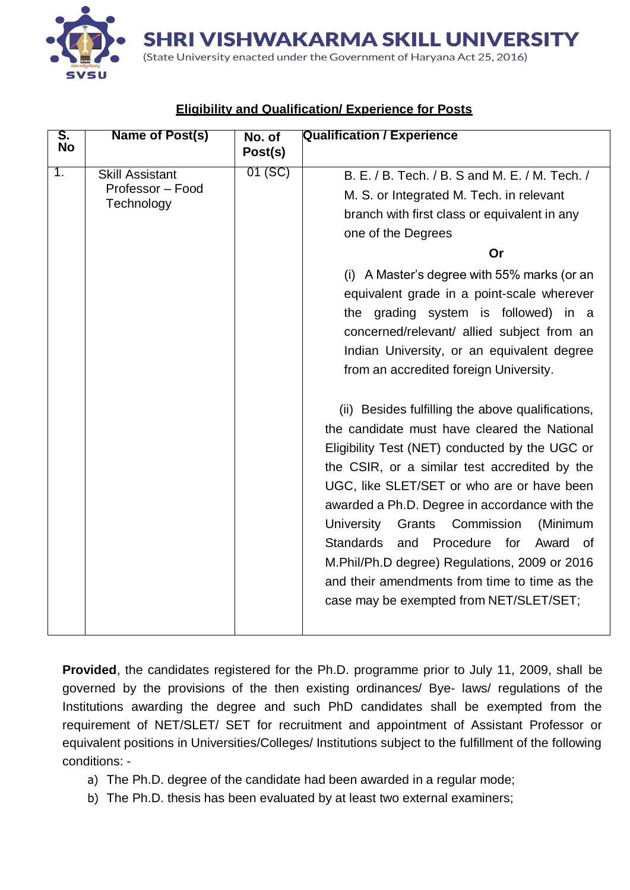**SHRI VISHWAKARMA SKILL UNIVERSITY** 

(State University enacted under the Government of Haryana Act 25, 2016) SVSI

| S.<br><b>No</b> | Name of Post(s)                                          | No. of<br>Post(s) | <b>Qualification / Experience</b>                                                                                                                                                                                                                                                                                                                                                                                                                                                                                                                                                                                                                                                                                                                                                                                                                                                                                                                                                                            |
|-----------------|----------------------------------------------------------|-------------------|--------------------------------------------------------------------------------------------------------------------------------------------------------------------------------------------------------------------------------------------------------------------------------------------------------------------------------------------------------------------------------------------------------------------------------------------------------------------------------------------------------------------------------------------------------------------------------------------------------------------------------------------------------------------------------------------------------------------------------------------------------------------------------------------------------------------------------------------------------------------------------------------------------------------------------------------------------------------------------------------------------------|
| 1.              | <b>Skill Assistant</b><br>Professor - Food<br>Technology | 01(SC)            | B. E. / B. Tech. / B. S and M. E. / M. Tech. /<br>M. S. or Integrated M. Tech. in relevant<br>branch with first class or equivalent in any<br>one of the Degrees<br>Or<br>(i) A Master's degree with 55% marks (or an<br>equivalent grade in a point-scale wherever<br>the grading system is followed) in a<br>concerned/relevant/ allied subject from an<br>Indian University, or an equivalent degree<br>from an accredited foreign University.<br>(ii) Besides fulfilling the above qualifications,<br>the candidate must have cleared the National<br>Eligibility Test (NET) conducted by the UGC or<br>the CSIR, or a similar test accredited by the<br>UGC, like SLET/SET or who are or have been<br>awarded a Ph.D. Degree in accordance with the<br>Grants Commission<br>University<br>(Minimum<br>Procedure for<br><b>Standards</b><br>and<br>Award of<br>M.Phil/Ph.D degree) Regulations, 2009 or 2016<br>and their amendments from time to time as the<br>case may be exempted from NET/SLET/SET; |
|                 |                                                          |                   |                                                                                                                                                                                                                                                                                                                                                                                                                                                                                                                                                                                                                                                                                                                                                                                                                                                                                                                                                                                                              |

# **Eligibility and Qualification/ Experience for Posts**

**Provided**, the candidates registered for the Ph.D. programme prior to July 11, 2009, shall be governed by the provisions of the then existing ordinances/ Bye- laws/ regulations of the Institutions awarding the degree and such PhD candidates shall be exempted from the requirement of NET/SLET/ SET for recruitment and appointment of Assistant Professor or equivalent positions in Universities/Colleges/ Institutions subject to the fulfillment of the following conditions: -

- a) The Ph.D. degree of the candidate had been awarded in a regular mode;
- b) The Ph.D. thesis has been evaluated by at least two external examiners;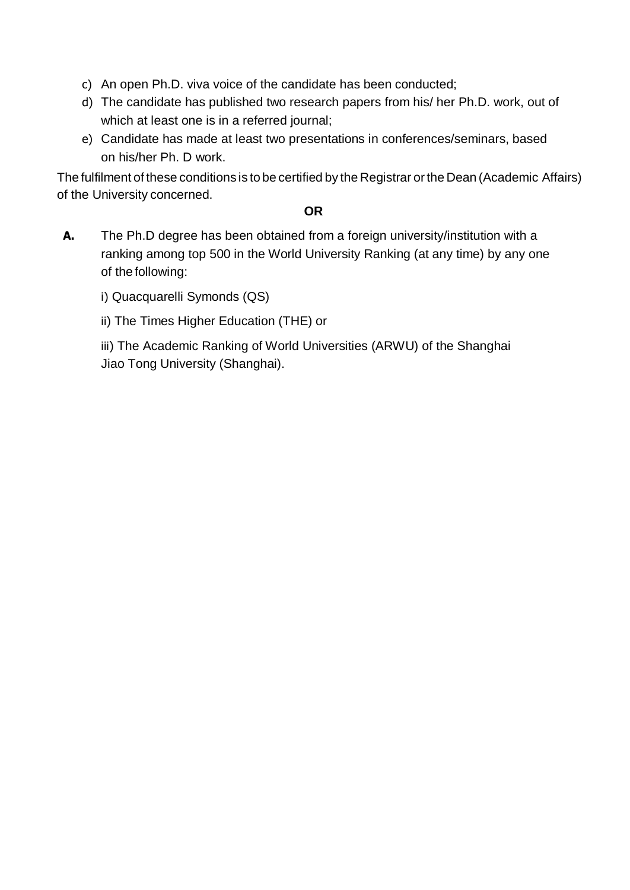- c) An open Ph.D. viva voice of the candidate has been conducted;
- d) The candidate has published two research papers from his/ her Ph.D. work, out of which at least one is in a referred journal;
- e) Candidate has made at least two presentations in conferences/seminars, based on his/her Ph. D work.

The fulfilment of these conditions is to be certified by the Registrar orthe Dean (Academic Affairs) of the University concerned.

#### **OR**

- **A.** The Ph.D degree has been obtained from a foreign university/institution with a ranking among top 500 in the World University Ranking (at any time) by any one of the following:
	- i) Quacquarelli Symonds (QS)
	- ii) The Times Higher Education (THE) or

iii) The Academic Ranking of World Universities (ARWU) of the Shanghai Jiao Tong University (Shanghai).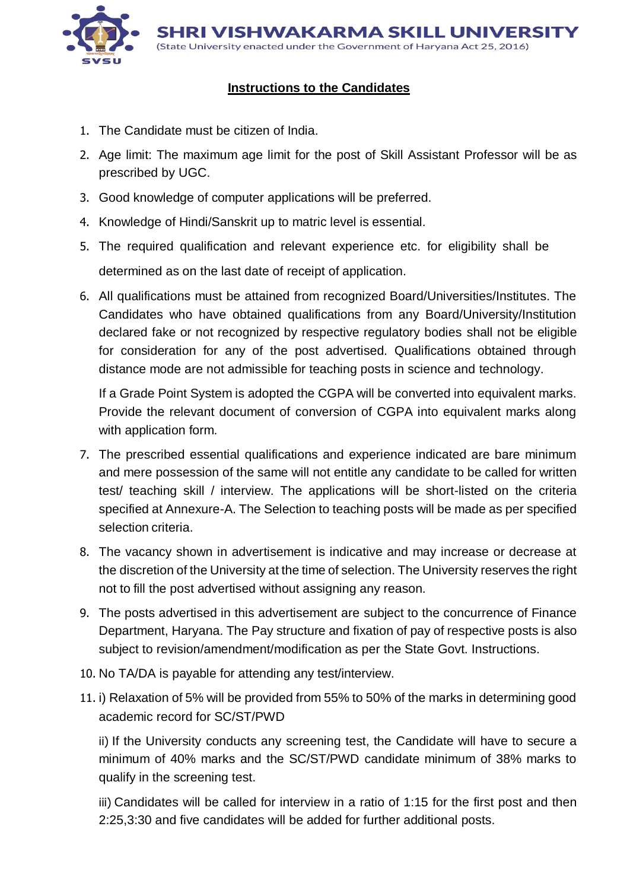

### **Instructions to the Candidates**

- 1. The Candidate must be citizen of India.
- 2. Age limit: The maximum age limit for the post of Skill Assistant Professor will be as prescribed by UGC.
- 3. Good knowledge of computer applications will be preferred.
- 4. Knowledge of Hindi/Sanskrit up to matric level is essential.
- 5. The required qualification and relevant experience etc. for eligibility shall be determined as on the last date of receipt of application.
- 6. All qualifications must be attained from recognized Board/Universities/Institutes. The Candidates who have obtained qualifications from any Board/University/Institution declared fake or not recognized by respective regulatory bodies shall not be eligible for consideration for any of the post advertised. Qualifications obtained through distance mode are not admissible for teaching posts in science and technology.

If a Grade Point System is adopted the CGPA will be converted into equivalent marks. Provide the relevant document of conversion of CGPA into equivalent marks along with application form.

- 7. The prescribed essential qualifications and experience indicated are bare minimum and mere possession of the same will not entitle any candidate to be called for written test/ teaching skill / interview. The applications will be short-listed on the criteria specified at Annexure-A. The Selection to teaching posts will be made as per specified selection criteria.
- 8. The vacancy shown in advertisement is indicative and may increase or decrease at the discretion of the University at the time of selection. The University reserves the right not to fill the post advertised without assigning any reason.
- 9. The posts advertised in this advertisement are subject to the concurrence of Finance Department, Haryana. The Pay structure and fixation of pay of respective posts is also subject to revision/amendment/modification as per the State Govt. Instructions.
- 10. No TA/DA is payable for attending any test/interview.
- 11. i) Relaxation of 5% will be provided from 55% to 50% of the marks in determining good academic record for SC/ST/PWD

ii) If the University conducts any screening test, the Candidate will have to secure a minimum of 40% marks and the SC/ST/PWD candidate minimum of 38% marks to qualify in the screening test.

iii) Candidates will be called for interview in a ratio of 1:15 for the first post and then 2:25,3:30 and five candidates will be added for further additional posts.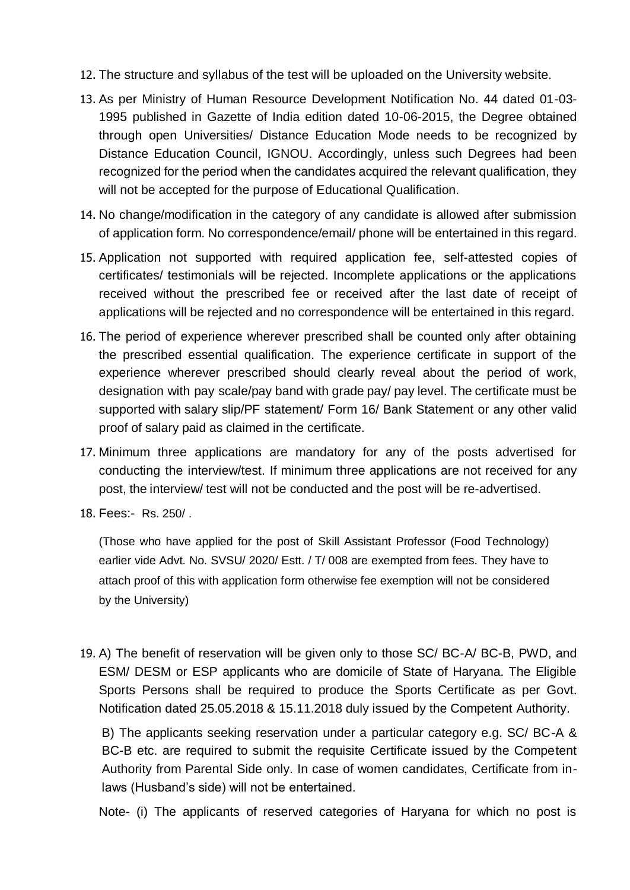- 12. The structure and syllabus of the test will be uploaded on the University website.
- 13. As per Ministry of Human Resource Development Notification No. 44 dated 01-03- 1995 published in Gazette of India edition dated 10-06-2015, the Degree obtained through open Universities/ Distance Education Mode needs to be recognized by Distance Education Council, IGNOU. Accordingly, unless such Degrees had been recognized for the period when the candidates acquired the relevant qualification, they will not be accepted for the purpose of Educational Qualification.
- 14. No change/modification in the category of any candidate is allowed after submission of application form. No correspondence/email/ phone will be entertained in this regard.
- 15. Application not supported with required application fee, self-attested copies of certificates/ testimonials will be rejected. Incomplete applications or the applications received without the prescribed fee or received after the last date of receipt of applications will be rejected and no correspondence will be entertained in this regard.
- 16. The period of experience wherever prescribed shall be counted only after obtaining the prescribed essential qualification. The experience certificate in support of the experience wherever prescribed should clearly reveal about the period of work, designation with pay scale/pay band with grade pay/ pay level. The certificate must be supported with salary slip/PF statement/ Form 16/ Bank Statement or any other valid proof of salary paid as claimed in the certificate.
- 17. Minimum three applications are mandatory for any of the posts advertised for conducting the interview/test. If minimum three applications are not received for any post, the interview/ test will not be conducted and the post will be re-advertised.
- 18. Fees:- Rs. 250/ .

(Those who have applied for the post of Skill Assistant Professor (Food Technology) earlier vide Advt. No. SVSU/ 2020/ Estt. / T/ 008 are exempted from fees. They have to attach proof of this with application form otherwise fee exemption will not be considered by the University)

19. A) The benefit of reservation will be given only to those SC/ BC-A/ BC-B, PWD, and ESM/ DESM or ESP applicants who are domicile of State of Haryana. The Eligible Sports Persons shall be required to produce the Sports Certificate as per Govt. Notification dated 25.05.2018 & 15.11.2018 duly issued by the Competent Authority.

B) The applicants seeking reservation under a particular category e.g. SC/ BC-A & BC-B etc. are required to submit the requisite Certificate issued by the Competent Authority from Parental Side only. In case of women candidates, Certificate from inlaws (Husband's side) will not be entertained.

Note- (i) The applicants of reserved categories of Haryana for which no post is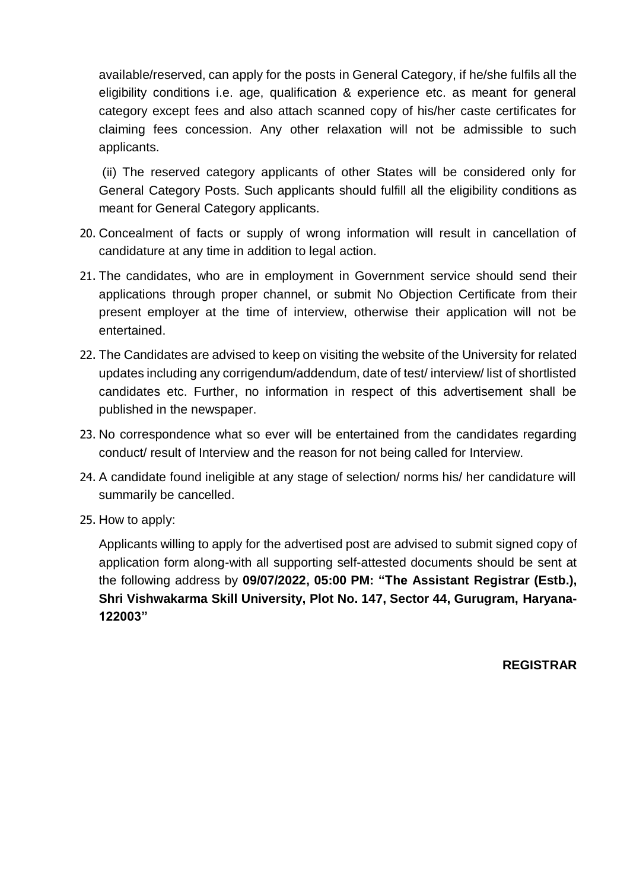available/reserved, can apply for the posts in General Category, if he/she fulfils all the eligibility conditions i.e. age, qualification & experience etc. as meant for general category except fees and also attach scanned copy of his/her caste certificates for claiming fees concession. Any other relaxation will not be admissible to such applicants.

(ii) The reserved category applicants of other States will be considered only for General Category Posts. Such applicants should fulfill all the eligibility conditions as meant for General Category applicants.

- 20. Concealment of facts or supply of wrong information will result in cancellation of candidature at any time in addition to legal action.
- 21. The candidates, who are in employment in Government service should send their applications through proper channel, or submit No Objection Certificate from their present employer at the time of interview, otherwise their application will not be entertained.
- 22. The Candidates are advised to keep on visiting the website of the University for related updates including any corrigendum/addendum, date of test/ interview/ list of shortlisted candidates etc. Further, no information in respect of this advertisement shall be published in the newspaper.
- 23. No correspondence what so ever will be entertained from the candidates regarding conduct/ result of Interview and the reason for not being called for Interview.
- 24. A candidate found ineligible at any stage of selection/ norms his/ her candidature will summarily be cancelled.
- 25. How to apply:

Applicants willing to apply for the advertised post are advised to submit signed copy of application form along-with all supporting self-attested documents should be sent at the following address by **09/07/2022, 05:00 PM: "The Assistant Registrar (Estb.), Shri Vishwakarma Skill University, Plot No. 147, Sector 44, Gurugram, Haryana-122003"**

**REGISTRAR**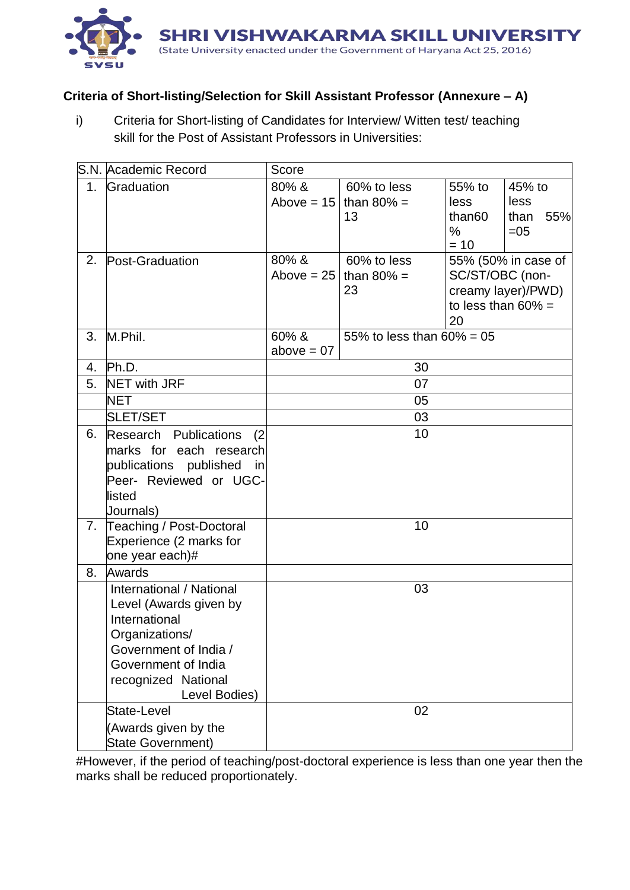

## **Criteria of Short-listing/Selection for Skill Assistant Professor (Annexure – A)**

i) Criteria for Short-listing of Candidates for Interview/ Witten test/ teaching skill for the Post of Assistant Professors in Universities:

|                | S.N. Academic Record                                                                                                                                                          | Score                 |                                              |                                                        |                                           |
|----------------|-------------------------------------------------------------------------------------------------------------------------------------------------------------------------------|-----------------------|----------------------------------------------|--------------------------------------------------------|-------------------------------------------|
| 1 <sub>1</sub> | Graduation                                                                                                                                                                    | 80% &                 | 60% to less<br>Above = $15$ than 80% =<br>13 | 55% to<br>less<br>than <sub>60</sub><br>$\%$<br>$= 10$ | 45% to<br>less<br>than<br>55%<br>$=05$    |
| 2.             | Post-Graduation                                                                                                                                                               | 80% &<br>Above $= 25$ | 60% to less<br>than $80\%$ =<br>23           | SC/ST/OBC (non-<br>to less than $60\%$ =<br>20         | 55% (50% in case of<br>creamy layer)/PWD) |
| 3.             | M.Phil.                                                                                                                                                                       | 60% &<br>above $= 07$ | 55% to less than $60\% = 05$                 |                                                        |                                           |
| 4.             | Ph.D.                                                                                                                                                                         | 30                    |                                              |                                                        |                                           |
| 5.             | <b>NET with JRF</b>                                                                                                                                                           | 07                    |                                              |                                                        |                                           |
|                | <b>NET</b>                                                                                                                                                                    | 05                    |                                              |                                                        |                                           |
|                | <b>SLET/SET</b>                                                                                                                                                               | 03                    |                                              |                                                        |                                           |
| 6.             | Research Publications<br>(2)<br>marks for each research<br>publications published<br>in<br>Peer- Reviewed or UGC-<br>listed<br>Journals)                                      |                       | 10                                           |                                                        |                                           |
|                | 7. Teaching / Post-Doctoral<br>Experience (2 marks for<br>one year each)#                                                                                                     |                       | 10                                           |                                                        |                                           |
| 8.             | Awards                                                                                                                                                                        |                       |                                              |                                                        |                                           |
|                | International / National<br>Level (Awards given by<br>International<br>Organizations/<br>Government of India /<br>Government of India<br>recognized National<br>Level Bodies) |                       | 03                                           |                                                        |                                           |
|                | State-Level<br>(Awards given by the<br><b>State Government)</b>                                                                                                               |                       | 02                                           |                                                        |                                           |

#However, if the period of teaching/post-doctoral experience is less than one year then the marks shall be reduced proportionately.